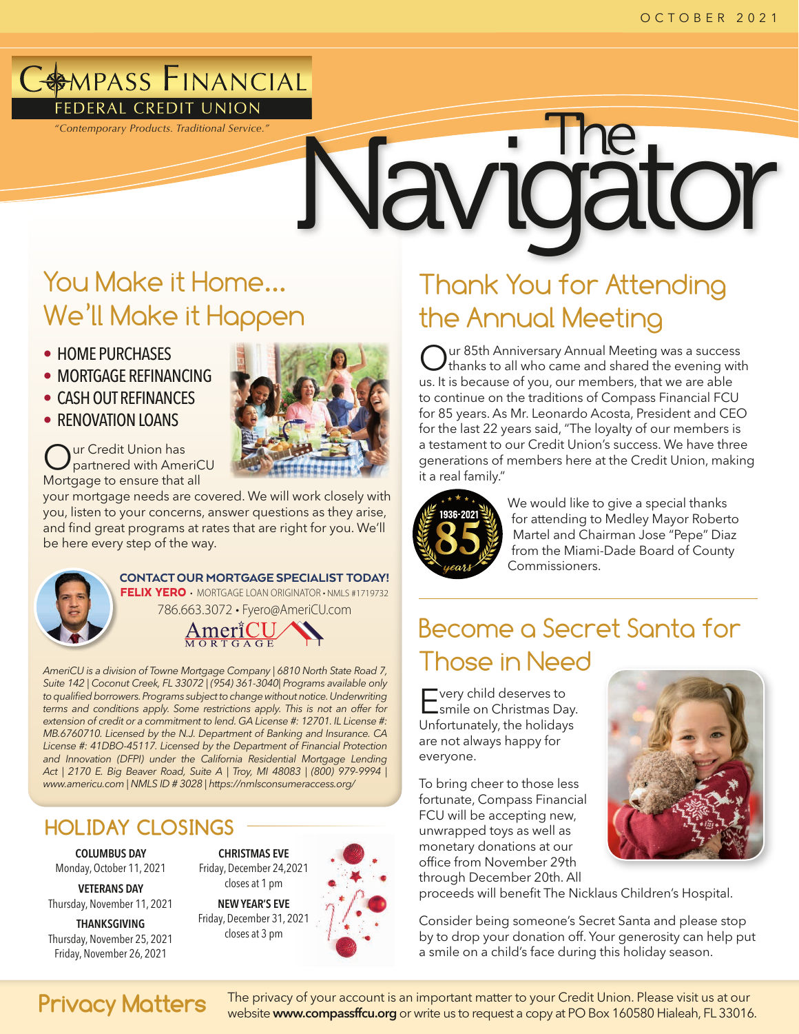# **AMPASS FINANCIAL**

# FEDERAL CREDIT UNION<br>"Contemporary Products. Traditional Service."<br>
The Navigator The Navigator of The Navigator of The Navigator of The Navigator of The Navigator of The Navigator of The Traditional Service."

# You Make it Home... We'll Make it Happen

- HOME PURCHASES
- MORTGAGE REFINANCING
- CASH OUT REFINANCES
- RENOVATION LOANS

Our Credit Union has partnered with AmeriCU Mortgage to ensure that all

your mortgage needs are covered. We will work closely with you, listen to your concerns, answer questions as they arise, and find great programs at rates that are right for you. We'll be here every step of the way.



## CONTACT OUR MORTGAGE SPECIALIST TODAY!

FELIX YERO • MORTGAGE LOAN ORIGINATOR • NMLS #1719732 786.663.3072 • [Fyero@AmeriCU.com](mailto:Fyero@AmeriCU.com)



*AmeriCU is a division of Towne Mortgage Company | 6810 North State Road 7, Suite 142 | Coconut Creek, FL 33072 | (954) 361-3040| Programs available only to qualified borrowers. Programs subject to change without notice. Underwriting terms and conditions apply. Some restrictions apply. This is not an offer for extension of credit or a commitment to lend. GA License #: 12701. IL License #: MB.6760710. Licensed by the N.J. Department of Banking and Insurance. CA License #: 41DBO-45117. Licensed by the Department of Financial Protection*  and Innovation (DFPI) under the California Residential Mortgage Lending *Act | 2170 E. Big Beaver Road, Suite A | Troy, MI 48083 | (800) 979-9994 | [www.americu.com](http://www.americu.com) | NMLS ID # 3028 |<https://nmlsconsumeraccess.org/>*

# **HOLIDAY CLOSINGS**

COLUMBUS DAY Monday, October 11, 2021

VETERANS DAY Thursday, November 11, 2021

THANKSGIVING Thursday, November 25, 2021 Friday, November 26, 2021



# Thank You for Attending the Annual Meeting

Our 85th Anniversary Annual Meeting was a success<br>
C thanks to all who came and shared the evening with us. It is because of you, our members, that we are able to continue on the traditions of Compass Financial FCU for 85 years. As Mr. Leonardo Acosta, President and CEO for the last 22 years said, "The loyalty of our members is a testament to our Credit Union's success. We have three generations of members here at the Credit Union, making it a real family."



We would like to give a special thanks for attending to Medley Mayor Roberto Martel and Chairman Jose "Pepe" Diaz from the Miami-Dade Board of County Commissioners.

# Become a Secret Santa for Those in Need

Every child deserves to smile on Christmas Day. Unfortunately, the holidays are not always happy for everyone.

To bring cheer to those less fortunate, Compass Financial FCU will be accepting new, unwrapped toys as well as monetary donations at our office from November 29th through December 20th. All



proceeds will benefit The Nicklaus Children's Hospital.

Consider being someone's Secret Santa and please stop by to drop your donation off. Your generosity can help put a smile on a child's face during this holiday season.

**Privacy Matters** The privacy of your account is an important matter to your Credit Union. Please visit us at our Trial of the 33016 website [www.compassffcu.org](http://www.compassffcu.org) or write us to request a copy at PO Box 160580 Hialeah, FL 33016.